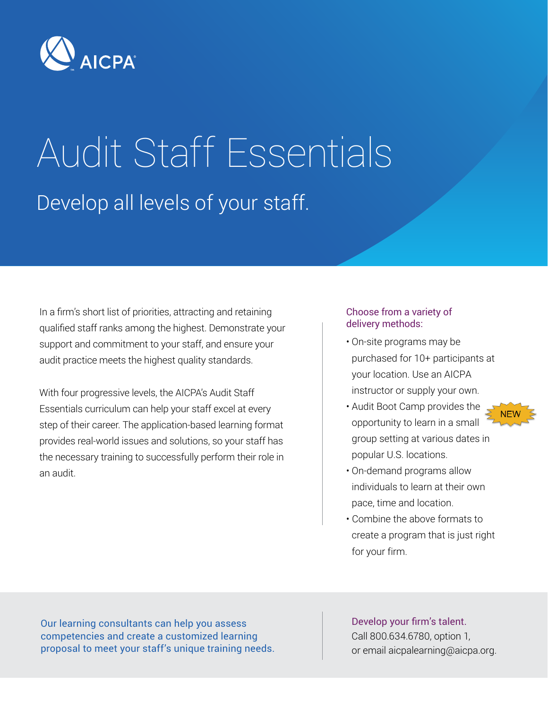

# Audit Staff Essentials Develop all levels of your staff.

In a firm's short list of priorities, attracting and retaining qualified staff ranks among the highest. Demonstrate your support and commitment to your staff, and ensure your audit practice meets the highest quality standards.

With four progressive levels, the AICPA's Audit Staff Essentials curriculum can help your staff excel at every step of their career. The application-based learning format provides real-world issues and solutions, so your staff has the necessary training to successfully perform their role in an audit.

#### Choose from a variety of delivery methods:

- On-site programs may be purchased for 10+ participants at your location. Use an AICPA instructor or supply your own.
- Audit Boot Camp provides the opportunity to learn in a small group setting at various dates in popular U.S. locations.

**NEW** 

- On-demand programs allow individuals to learn at their own pace, time and location.
- Combine the above formats to create a program that is just right for your firm.

Our learning consultants can help you assess competencies and create a customized learning proposal to meet your staff's unique training needs.

Develop your firm's talent. Call 800.634.6780, option 1, or email aicpalearning@aicpa.org.